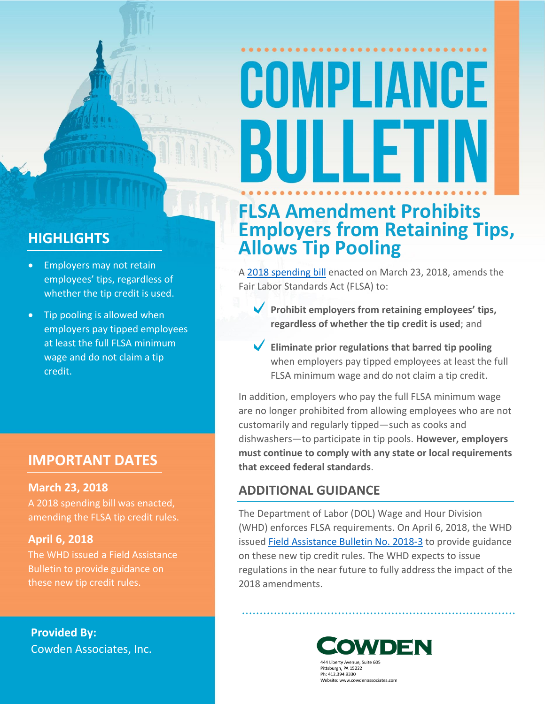# COMPLIANCE BULLET

## **HIGHLIGHTS**

- Employers may not retain employees' tips, regardless of whether the tip credit is used.
- Tip pooling is allowed when employers pay tipped employees at least the full FLSA minimum wage and do not claim a tip credit.

### **IMPORTANT DATES**

### **March 23, 2018**

A 2018 spending bill was enacted, amending the FLSA tip credit rules.

### **April 6, 2018**

The WHD issued a Field Assistance Bulletin to provide guidance on these new tip credit rules.

**Provided By:** Cowden Associates, Inc.

# **FLSA Amendment Prohibits Employers from Retaining Tips, Allows Tip Pooling**

[A 2018 spending bill](https://www.congress.gov/bill/115th-congress/house-bill/1625) enacted on March 23, 2018, amends the Fair Labor Standards Act (FLSA) to:

- **Prohibit employers from retaining employees' tips, regardless of whether the tip credit is used**; and
- **Eliminate prior regulations that barred tip pooling** when employers pay tipped employees at least the full FLSA minimum wage and do not claim a tip credit.

In addition, employers who pay the full FLSA minimum wage are no longer prohibited from allowing employees who are not customarily and regularly tipped—such as cooks and dishwashers—to participate in tip pools. **However, employers must continue to comply with any state or local requirements that exceed federal standards**.

### **ADDITIONAL GUIDANCE**

The Department of Labor (DOL) Wage and Hour Division (WHD) enforces FLSA requirements. On April 6, 2018, the WHD issued [Field Assistance Bulletin No. 2018-3](https://www.dol.gov/whd/FieldBulletins/fab2018_3.pdf) to provide guidance on these new tip credit rules. The WHD expects to issue regulations in the near future to fully address the impact of the 2018 amendments.



Pittsburgh, PA 15222 Ph: 412.394.9330 Website: www.cowdenassociates.com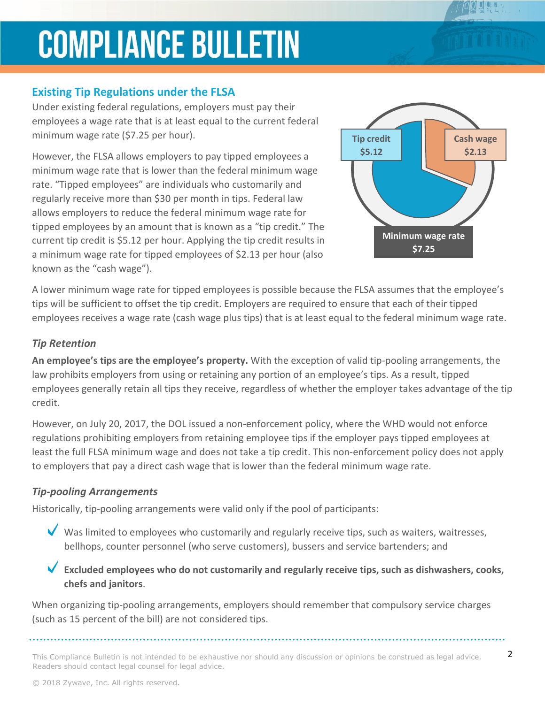# **COMPLIANCE BULLETIN**

### **Existing Tip Regulations under the FLSA**

Under existing federal regulations, employers must pay their employees a wage rate that is at least equal to the current federal minimum wage rate (\$7.25 per hour).

However, the FLSA allows employers to pay tipped employees a minimum wage rate that is lower than the federal minimum wage rate. "Tipped employees" are individuals who customarily and regularly receive more than \$30 per month in tips. Federal law allows employers to reduce the federal minimum wage rate for tipped employees by an amount that is known as a "tip credit." The current tip credit is \$5.12 per hour. Applying the tip credit results in a minimum wage rate for tipped employees of \$2.13 per hour (also known as the "cash wage").



A lower minimum wage rate for tipped employees is possible because the FLSA assumes that the employee's tips will be sufficient to offset the tip credit. Employers are required to ensure that each of their tipped employees receives a wage rate (cash wage plus tips) that is at least equal to the federal minimum wage rate.

### *Tip Retention*

**An employee's tips are the employee's property.** With the exception of valid tip-pooling arrangements, the law prohibits employers from using or retaining any portion of an employee's tips. As a result, tipped employees generally retain all tips they receive, regardless of whether the employer takes advantage of the tip credit.

However, on July 20, 2017, the DOL issued a non-enforcement policy, where the WHD would not enforce regulations prohibiting employers from retaining employee tips if the employer pays tipped employees at least the full FLSA minimum wage and does not take a tip credit. This non-enforcement policy does not apply to employers that pay a direct cash wage that is lower than the federal minimum wage rate.

### *Tip-pooling Arrangements*

Historically, tip-pooling arrangements were valid only if the pool of participants:

 $\blacktriangledown$  Was limited to employees who customarily and regularly receive tips, such as waiters, waitresses, bellhops, counter personnel (who serve customers), bussers and service bartenders; and

**Excluded employees who do not customarily and regularly receive tips, such as dishwashers, cooks, chefs and janitors**.

When organizing tip-pooling arrangements, employers should remember that compulsory service charges (such as 15 percent of the bill) are not considered tips.

This Compliance Bulletin is not intended to be exhaustive nor should any discussion or opinions be construed as legal advice.  $2$ Readers should contact legal counsel for legal advice.